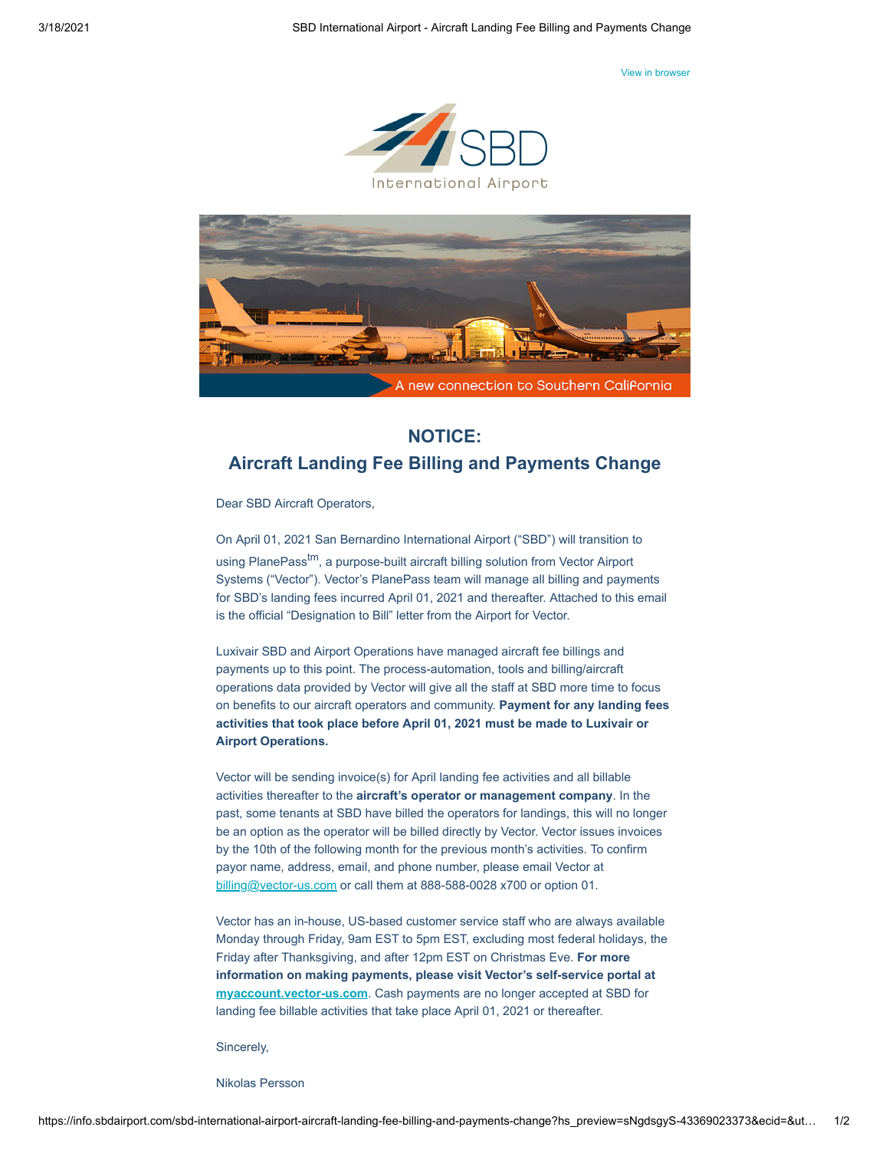[View in browser](http://info.sbdairport.com/sbd-international-airport-aircraft-landing-fee-billing-and-payments-change?hs_preview=sNgdsgyS-43369023373&utm_source=hs_email&utm_medium=email&utm_content=2&_hsenc=p2ANqtz-9Gbq-L2loQPnpBaM09xI_P1D29l1Po8IPbaAMiAUyOWmLwvP8HBucnp-G0IQ9aC6Sizm_36X47rVyjN31129ofZB9G9Q)





## **NOTICE: Aircraft Landing Fee Billing and Payments Change**

Dear SBD Aircraft Operators,

On April 01, 2021 San Bernardino International Airport ("SBD") will transition to using PlanePass<sup>tm</sup>, a purpose-built aircraft billing solution from Vector Airport Systems ("Vector"). Vector's PlanePass team will manage all billing and payments for SBD's landing fees incurred April 01, 2021 and thereafter. Attached to this email is the official "Designation to Bill" letter from the Airport for Vector.

Luxivair SBD and Airport Operations have managed aircraft fee billings and payments up to this point. The process-automation, tools and billing/aircraft operations data provided by Vector will give all the staff at SBD more time to focus on benefits to our aircraft operators and community. **Payment for any landing fees activities that took place before April 01, 2021 must be made to Luxivair or Airport Operations.**

Vector will be sending invoice(s) for April landing fee activities and all billable activities thereafter to the **aircraft's operator or management company**. In the past, some tenants at SBD have billed the operators for landings, this will no longer be an option as the operator will be billed directly by Vector. Vector issues invoices by the 10th of the following month for the previous month's activities. To confirm payor name, address, email, and phone number, please email Vector at [billing@vector-us.com](mailto:billing@vector-us.com) or call them at 888-588-0028 x700 or option 01.

Vector has an in-house, US-based customer service staff who are always available Monday through Friday, 9am EST to 5pm EST, excluding most federal holidays, the Friday after Thanksgiving, and after 12pm EST on Christmas Eve. **For more information on making payments, please visit Vector's self-service portal at [myaccount.vector-us.com](http://myaccount.vector-us.com/?utm_source=hs_email&utm_medium=email&utm_content=2&_hsenc=p2ANqtz-9Gbq-L2loQPnpBaM09xI_P1D29l1Po8IPbaAMiAUyOWmLwvP8HBucnp-G0IQ9aC6Sizm_36X47rVyjN31129ofZB9G9Q)**. Cash payments are no longer accepted at SBD for landing fee billable activities that take place April 01, 2021 or thereafter.

Sincerely,

Nikolas Persson